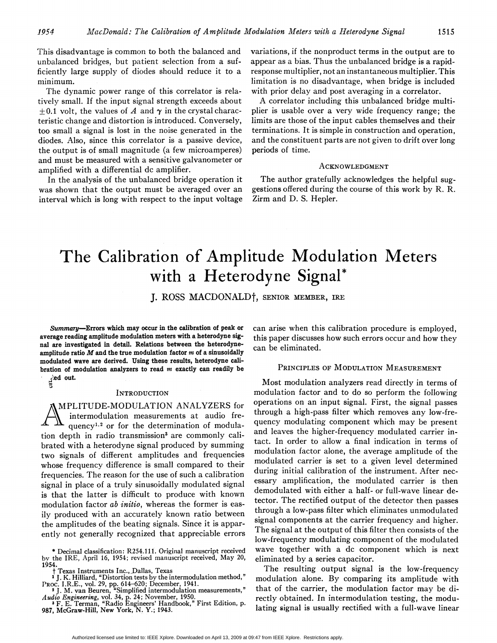This disadvantage is common to both the balanced and unbalanced bridges, but patient selection from a sufficiently large supply of diodes should reduce it to a minimum.

The dynamic power range of this correlator is relatively small. If the input signal strength exceeds about  $\pm 0.1$  volt, the values of A and  $\gamma$  in the crystal characteristic change and distortion is introduced. Conversely, too small a signal is lost in the noise generated in the diodes. Also, since this correlator is a passive device, the output is of small magnitude (a few microamperes) and must be measured with a sensitive galvanometer or amplified with a differential dc amplifier.

In the analysis of the unbalanced bridge operation it was shown that the output must be averaged over an interval which is long with respect to the input voltage variations, if the nonproduct terms in the output are to appear as a bias. Thus the unbalanced bridge is a rapidresponse multiplier, not an instantaneous multiplier. This limitation is no disadvantage, when bridge is included with prior delay and post averaging in a correlator.

A correlator including this unbalanced bridge multiplier is usable over a very wide frequency range; the limits are those of the input cables themselves and their terminations. It is simple in construction and operation, and the constituent parts are not given to drift over long periods of time.

### ACKNOWLEDGMENT

The author gratefully acknowledges the helpful suggestions offered during the course of this work by R. R. Zirm and D. S. Hepler.

# The Calibration of Amplitude Modulation Meters with a Heterodyne Signal\*

J. ROSS MACDONALD<sup>†</sup>, SENIOR MEMBER, IRE

Summary-Errors which may occur in the calibration of peak or average reading amplitude modulation meters with a heterodyne signal are investigated in detail. Relations between the heterodyneamplitude ratio  $M$  and the true modulation factor  $m$  of a sinusoidally modulated wave are derived. Using these results, heterodyne calibration of modulation analyzers to read  $m$  exactly can readily be 4.ed out.

#### **INTRODUCTION**

ت.

AMPLITUDE-MODULATION ANALYZERS for intermodulation measurements at audio frequency1,2 or for the determination of modulation depth in radio transmission<sup>3</sup> are commonly calibrated with a heterodyne signal produced by summing two signals of different amplitudes and frequencies whose frequency difference is small compared to their frequencies. The reason for the use of such a calibration signal in place of a truly sinusoidally modulated signal is that the latter is difficult to produce with known modulation factor ab initio, whereas the former is easily produced with an accurately known ratio between the amplitudes of the beating signals. Since it is apparently not generally recognized that appreciable errors

\* Decimal classification: R254.111. Original manuscript received by the IRE, April 16, 1954; revised manuscript received, May 20,

1954.<br>† Texas Instruments Inc., Dallas, Texas<br>¤ J. K. Hilliard, "Distortion tests by the intermodulation method,"

PROC. I.R.E., vol. 29, pp. 614-620; December, 1941. <sup>2</sup> J. M. van Beuren, "Simplified intermodulation measurements,"

Audio Engineering, vol. 34, p. 24; November, 1950.<br>3 F. E. Terman, "Radio Engineers' Handbook," First Edition, p.<br>987, McGraw-Hill, New York, N. Y.; 1943.

can arise when this calibration procedure is employed, this paper discusses how such errors occur and how they can be eliminated.

# PRINCIPLES OF MODULATION MEASUREMENT

Most modulation analyzers read directly in terms of modulation factor and to do so perform the following operations on an input signal. First, the signal passes through a high-pass filter which removes any low-frequency modulating component which may be present and leaves the higher-frequency modulated carrier intact. In order to allow a final indication in terms of modulation factor alone, the average amplitude of the modulated carrier is set to a given level determined during initial calibration of the instrument. After necessary amplification, the modulated carrier is then demodulated with either a half- or full-wave linear detector. The rectified output of the detector then passes through a low-pass filter which eliminates unmodulated signal components at the carrier frequency and higher. The signal at the output of this filter then consists of the low-frequency modulating component of the modulated wave together with a dc component which is next eliminated by a series capacitor.

The resulting output signal is the low-frequency modulation alone. By comparing its amplitude with that of the carrier, the modulation factor may be directly obtained. In intermodulation testing, the modulating signal is usually rectified with a full-wave linear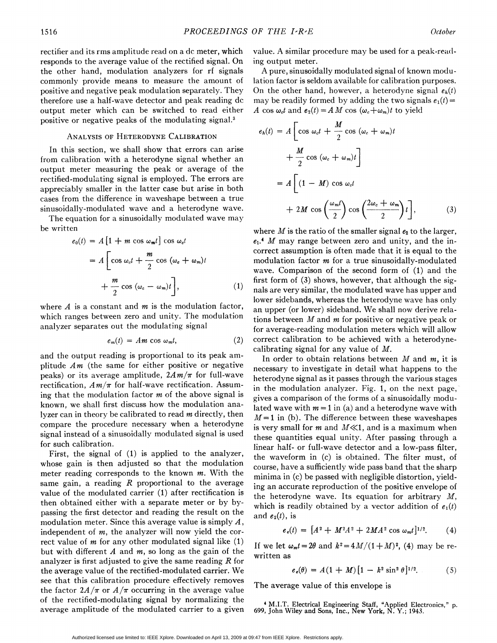rectifier and its rms amplitude read on a dc meter, which responds to the average value of the rectified signal. On the other hand, modulation analyzers for rf signals commonly provide means to measure the amount of positive and negative peak modulation separately. They therefore use a half-wave detector and peak reading dc output meter which can be switched to read either positive or negative peaks of the modulating signal.3

# ANALYSIS OF HETERODYNE CALIBRATION

In this section, we shall show that errors can arise from calibration with a heterodyne signal whether an output meter measuring the peak or average of the rectified-modulating signal is employed. The errors are appreciably smaller in the latter case but arise in both cases from the difference in waveshape between a true sinusoidally-modulated wave and a heterodyne wave.

The equation for a sinusoidally modulated wave may be written

$$
e_0(t) = A \left[ 1 + m \cos \omega_m t \right] \cos \omega_c t
$$
  
=  $A \left[ \cos \omega_c t + \frac{m}{2} \cos (\omega_c + \omega_m) t \right]$   
+  $\frac{m}{2} \cos (\omega_c - \omega_m) t \right]$ , (1)

where  $A$  is a constant and  $m$  is the modulation factor, which ranges between zero and unity. The modulation analyzer separates out the modulating signal

$$
e_m(t) = Am \cos \omega_m t, \qquad (2)
$$

and the output reading is proportional to its peak amplitude  $Am$  (the same for either positive or negative peaks) or its average amplitude,  $2Am/\pi$  for full-wave rectification,  $Am/\pi$  for half-wave rectification. Assuming that the modulation factor  $m$  of the above signal is known, we shall first discuss how the modulation analyzer can in theory be calibrated to read m directly, then compare the procedure necessary when a heterodyne signal instead of a sinusoidally modulated signal is used for such calibration.

First, the signal of (1) is applied to the analyzer, whose gain is then adjusted so that the modulation meter reading corresponds to the known m. With the same gain, a reading  $R$  proportional to the average value of the modulated carrier (1) after rectification is then obtained either with a separate meter or by bypassing the first detector and reading the result on the modulation meter. Since this average value is simply  $A$ , independent of  $m$ , the analyzer will now yield the correct value of  $m$  for any other modulated signal like  $(1)$ but with different A and  $m$ , so long as the gain of the analyzer is first adjusted to give the same reading R for the average value of the rectified-modulated carrier. We see that this calibration procedure effectively removes the factor  $2A/\pi$  or  $A/\pi$  occurring in the average value of the rectified-modulating signal by normalizing the average amplitude of the modulated carrier to a given value. A similar procedure may be used for a peak-reading output meter.

A pure, sinusoidally modulated signal of known modulation factor is seldom available for calibration purposes. On the other hand, however, a heterodyne signal  $e_h(t)$ may be readily formed by adding the two signals  $e_1(t)$  = A cos  $\omega_c t$  and  $e_2(t) = AM \cos (\omega_c + \omega_m)t$  to yield

$$
e_h(t) = A \left[ \cos \omega_c t + \frac{M}{2} \cos (\omega_c + \omega_m)t \right]
$$
  
+ 
$$
\frac{M}{2} \cos (\omega_c + \omega_m)t \right]
$$
  
= 
$$
A \left[ (1 - M) \cos \omega_c t + 2M \cos \left( \frac{\omega_m t}{2} \right) \cos \left( \frac{2\omega_c + \omega_m}{2} \right) t \right],
$$
 (3)

where M is the ratio of the smaller signal  $e_2$  to the larger,  $e_1$ .<sup>4</sup> M may range between zero and unity, and the incorrect assumption is often made that it is equal to the modulation factor m for <sup>a</sup> true sinusoidally-modulated wave. Comparison of the second form of (1) and the first form of (3) shows, however, that although the signals are very similar, the modulated wave has upper and lower sidebands, whereas the heterodyne wave has only an upper (or lower) sideband. We shall now derive relations between M and m for positive or negative peak or for average-reading modulation meters which will allow correct calibration to be achieved with a heterodynecalibrating signal for any value of M.

In order to obtain relations between  $M$  and  $m$ , it is necessary to investigate in detail what happens to the heterodyne signal as it passes through the various stages in the modulation analyzer. Fig. 1, on the next page, gives a comparison of the forms of a sinusoidally modulated wave with  $m = 1$  in (a) and a heterodyne wave with  $M=1$  in (b). The difference between these waveshapes is very small for  $m$  and  $M \ll 1$ , and is a maximum when these quantities equal unity. After passing through a linear half- or full-wave detector and a low-pass filter, the waveform in (c) is obtained. The filter must, of course, have a sufficiently wide pass band that the sharp minima in (c) be passed with negligible distortion, yielding an accurate reproduction of the positive envelope of the heterodyne wave. Its equation for arbitrary  $M$ , which is readily obtained by a vector addition of  $e_1(t)$ and  $e_2(t)$ , is

$$
e_e(t) = [A^2 + M^2 A^2 + 2MA^2 \cos \omega_m t]^{1/2}.
$$
 (4)

If we let  $\omega_m t = 2\theta$  and  $k^2 = 4M/(1+M)^2$ , (4) may be rewritten as

$$
e_e(\theta) = A(1+M)[1-k^2\sin^2\theta]^{1/2}.
$$
 (5)

The average value of this envelope is

<sup>4</sup> M.I.T. Electrical Engineering Staff, "Applied Electronics," p. 699, John Wiley and Sons, Inc., New York, N. Y.; 1943.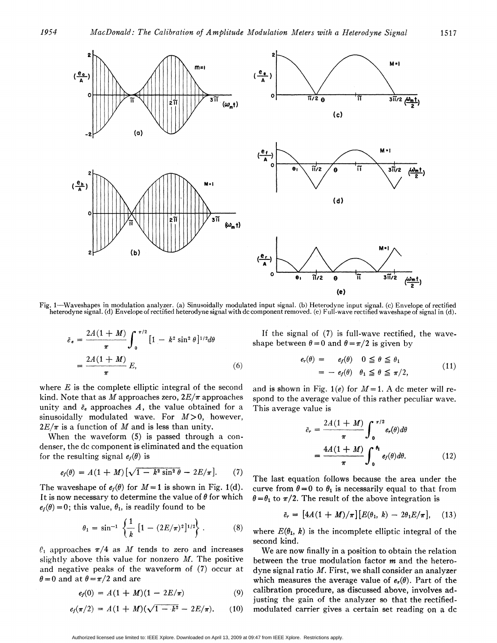

Fig. 1-Waveshapes in modulation analyzer. (a) Sinusoidally modulated input signal. (b) Heterodyne input signal. (c) Envelope of rectified heterodyne signal. (d) Envelope of rectified heterodyne signal with dc component removed. (e) Full-wave rectified waveshape of signal in (d).

$$
\bar{e}_e = \frac{2A(1+M)}{\pi} \int_0^{\pi/2} [1 - k^2 \sin^2 \theta]^{1/2} d\theta
$$

$$
= \frac{2A(1+M)}{\pi} E,
$$
(6)

where  $E$  is the complete elliptic integral of the second kind. Note that as M approaches zero,  $2E/\pi$  approaches unity and  $\bar{e}_e$  approaches A, the value obtained for a sinusoidally modulated wave. For  $M>0$ , however,  $2E/\pi$  is a function of M and is less than unity.

When the waveform (5) is passed through a condenser, the dc component is eliminated and the equation for the resulting signal  $e_f(\theta)$  is

$$
e_f(\theta) = A(1 + M) \left[ \sqrt{1 - k^2 \sin^2 \theta} - 2E/\pi \right]. \tag{7}
$$

The waveshape of  $e_f(\theta)$  for  $M=1$  is shown in Fig. 1(d). It is now necessary to determine the value of  $\theta$  for which  $e_f(\theta) = 0$ ; this value,  $\theta_1$ , is readily found to be

$$
\theta_1 = \sin^{-1} \left\{ \frac{1}{k} \left[ 1 - (2E/\pi)^2 \right]^{1/2} \right\} . \tag{8}
$$

 $\ell_1$  approaches  $\pi/4$  as M tends to zero and increases slightly above this value for nonzero  $M$ . The positive and negative peaks of the waveform of (7) occur at  $\theta = 0$  and at  $\theta = \pi/2$  and are

$$
e_f(0) = A(1 + M)(1 - 2E/\pi) \tag{9}
$$

$$
e_f(\pi/2) = A(1+M)(\sqrt{1-k^2} - 2E/\pi). \qquad (10)
$$

If the signal of (7) is full-wave rectified, the waveshape between  $\theta = 0$  and  $\theta = \pi/2$  is given by

$$
e_r(\theta) = e_f(\theta) \quad 0 \leq \theta \leq \theta_1
$$
  
=  $-e_f(\theta) \quad \theta_1 \leq \theta \leq \pi/2,$  (11)

and is shown in Fig. 1(e) for  $M=1$ . A dc meter will respond to the average value of this rather peculiar wave. This average value is

$$
\bar{e}_r = \frac{2A(1+M)}{\pi} \int_0^{\pi/2} e_r(\theta) d\theta
$$

$$
= \frac{4A(1+M)}{\pi} \int_0^{\theta_1} e_f(\theta) d\theta. \tag{12}
$$

The last equation follows because the area under the curve from  $\theta = 0$  to  $\theta_1$  is necessarily equal to that from  $\theta = \theta_1$  to  $\pi/2$ . The result of the above integration is

$$
\bar{e}_r = [4A(1 + M)/\pi][E(\theta_1, k) - 2\theta_1 E/\pi], \quad (13)
$$

where  $E(\theta_1, k)$  is the incomplete elliptic integral of the second kind.

We are now finally in <sup>a</sup> position to obtain the relation between the true modulation factor m and the heterodyne signal ratio  $M$ . First, we shall consider an analyzer which measures the average value of  $e_r(\theta)$ . Part of the calibration procedure, as discussed above, involves adjusting the gain of the analyzer so that the rectifiedmodulated carrier gives a certain set reading on a dc